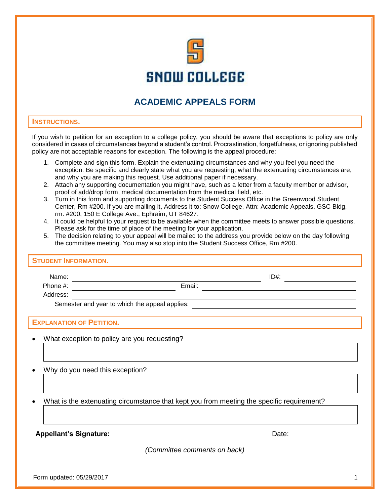

## **ACADEMIC APPEALS FORM**

## **INSTRUCTIONS.**

If you wish to petition for an exception to a college policy, you should be aware that exceptions to policy are only considered in cases of circumstances beyond a student's control. Procrastination, forgetfulness, or ignoring published policy are not acceptable reasons for exception. The following is the appeal procedure:

- 1. Complete and sign this form. Explain the extenuating circumstances and why you feel you need the exception. Be specific and clearly state what you are requesting, what the extenuating circumstances are, and why you are making this request. Use additional paper if necessary.
- 2. Attach any supporting documentation you might have, such as a letter from a faculty member or advisor, proof of add/drop form, medical documentation from the medical field, etc.
- 3. Turn in this form and supporting documents to the Student Success Office in the Greenwood Student Center, Rm #200. If you are mailing it, Address it to: Snow College, Attn: Academic Appeals, GSC Bldg, rm. #200, 150 E College Ave., Ephraim, UT 84627.
- 4. It could be helpful to your request to be available when the committee meets to answer possible questions. Please ask for the time of place of the meeting for your application.
- 5. The decision relating to your appeal will be mailed to the address you provide below on the day following the committee meeting. You may also stop into the Student Success Office, Rm #200.

| <b>STUDENT INFORMATION.</b>                                                               |                                                |      |  |  |
|-------------------------------------------------------------------------------------------|------------------------------------------------|------|--|--|
|                                                                                           |                                                | ID#: |  |  |
|                                                                                           | Phone #: $\frac{1}{2}$                         |      |  |  |
| Address:                                                                                  |                                                |      |  |  |
|                                                                                           | Semester and year to which the appeal applies: |      |  |  |
|                                                                                           | <b>EXPLANATION OF PETITION.</b>                |      |  |  |
|                                                                                           | What exception to policy are you requesting?   |      |  |  |
|                                                                                           |                                                |      |  |  |
| Why do you need this exception?                                                           |                                                |      |  |  |
|                                                                                           |                                                |      |  |  |
| What is the extenuating circumstance that kept you from meeting the specific requirement? |                                                |      |  |  |
|                                                                                           |                                                |      |  |  |
|                                                                                           |                                                |      |  |  |
| (Committee comments on back)                                                              |                                                |      |  |  |
|                                                                                           |                                                |      |  |  |

Form updated: 05/29/2017 1